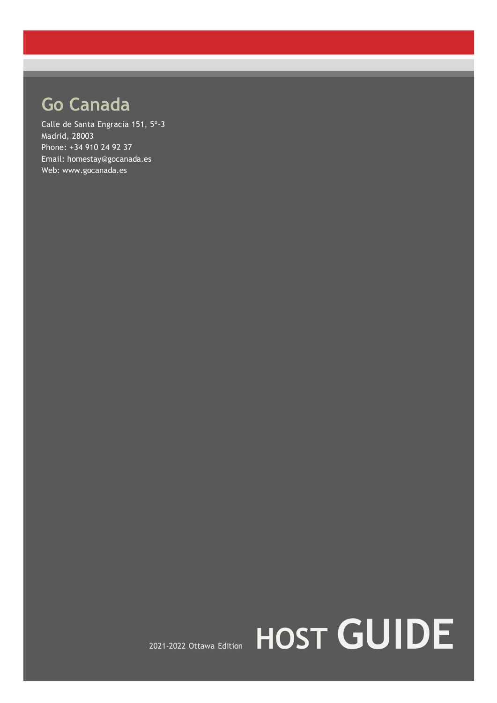# **Go Canada**

Calle de Santa Engracia 151, 5º-3 Madrid, 28003 Phone: +34 910 24 92 37 Email: homestay@gocanada.es Web: www.gocanada.es

# 2021-2022 Ottawa Edition **HOST GUIDE**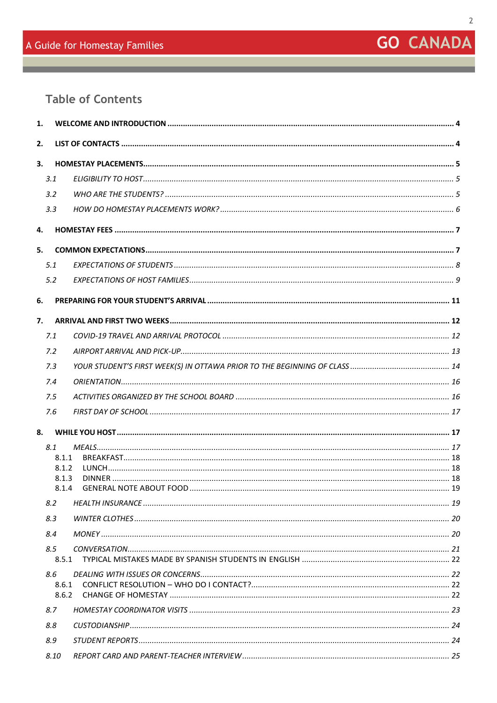# **GO CANADA**

## **Table of Contents**

| 1.   |                |  |  |  |
|------|----------------|--|--|--|
| 2.   |                |  |  |  |
| 3.   |                |  |  |  |
| 3.1  |                |  |  |  |
| 3.2  |                |  |  |  |
| 3.3  |                |  |  |  |
| 4.   |                |  |  |  |
| 5.   |                |  |  |  |
| 5.1  |                |  |  |  |
| 5.2  |                |  |  |  |
| 6.   |                |  |  |  |
|      |                |  |  |  |
| 7.   |                |  |  |  |
| 7.1  |                |  |  |  |
| 7.2  |                |  |  |  |
| 7.3  |                |  |  |  |
| 7.4  |                |  |  |  |
| 7.5  |                |  |  |  |
| 7.6  |                |  |  |  |
| 8.   |                |  |  |  |
| 8.1  |                |  |  |  |
|      | 8.1.1          |  |  |  |
|      | 8.1.2<br>8.1.3 |  |  |  |
|      | 8.1.4          |  |  |  |
| 8.2  |                |  |  |  |
| 8.3  |                |  |  |  |
| 8.4  |                |  |  |  |
| 8.5  |                |  |  |  |
|      | 8.5.1          |  |  |  |
| 8.6  |                |  |  |  |
|      | 8.6.1<br>8.6.2 |  |  |  |
| 8.7  |                |  |  |  |
| 8.8  |                |  |  |  |
| 8.9  |                |  |  |  |
| 8.10 |                |  |  |  |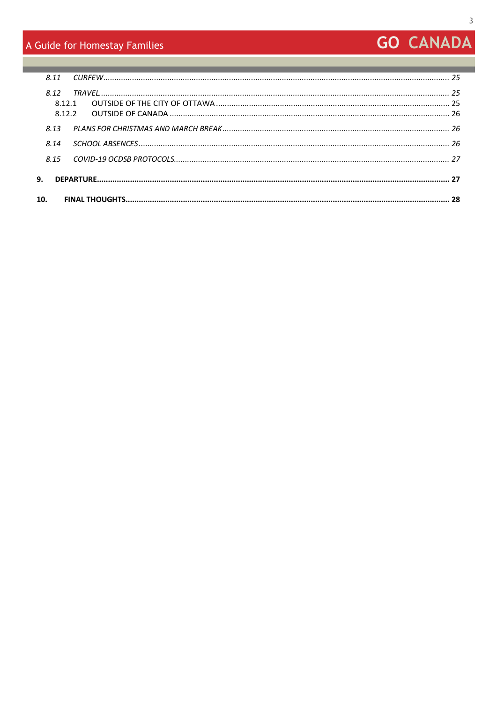## A Guide for Homestay Families

# **GO CANADA**

|            | 8.11            |  |  |  |
|------------|-----------------|--|--|--|
|            | 8.12<br>8 1 2 1 |  |  |  |
|            | 8.13            |  |  |  |
|            | 8.14            |  |  |  |
|            | 8.15            |  |  |  |
| <b>9</b> . |                 |  |  |  |
| 10.        |                 |  |  |  |
|            |                 |  |  |  |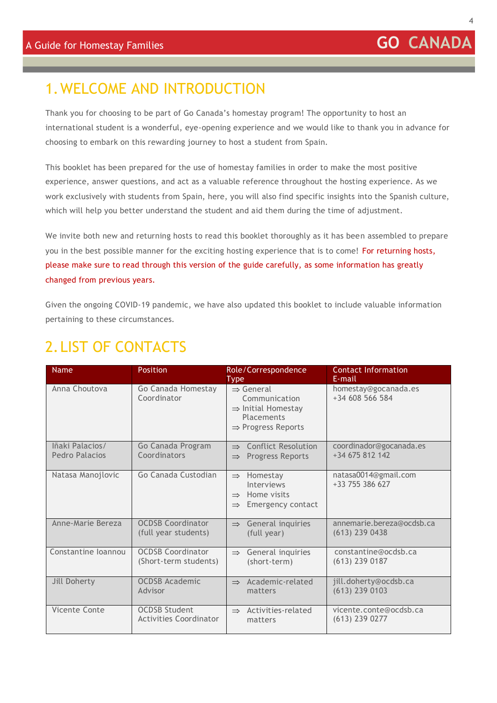# <span id="page-3-0"></span>1.WELCOME AND INTRODUCTION

Thank you for choosing to be part of Go Canada's homestay program! The opportunity to host an international student is a wonderful, eye-opening experience and we would like to thank you in advance for choosing to embark on this rewarding journey to host a student from Spain.

This booklet has been prepared for the use of homestay families in order to make the most positive experience, answer questions, and act as a valuable reference throughout the hosting experience. As we work exclusively with students from Spain, here, you will also find specific insights into the Spanish culture, which will help you better understand the student and aid them during the time of adjustment.

We invite both new and returning hosts to read this booklet thoroughly as it has been assembled to prepare you in the best possible manner for the exciting hosting experience that is to come! For returning hosts, please make sure to read through this version of the guide carefully, as some information has greatly changed from previous years.

Given the ongoing COVID-19 pandemic, we have also updated this booklet to include valuable information pertaining to these circumstances.

# <span id="page-3-1"></span>2.LIST OF CONTACTS

| <b>Name</b>                       | <b>Position</b>                                       | Role/Correspondence<br><b>Type</b>                                                                                       | <b>Contact Information</b><br>E-mail          |
|-----------------------------------|-------------------------------------------------------|--------------------------------------------------------------------------------------------------------------------------|-----------------------------------------------|
| Anna Choutova                     | Go Canada Homestay<br>Coordinator                     | $\Rightarrow$ General<br>Communication<br>$\Rightarrow$ Initial Homestay<br>Placements<br>$\Rightarrow$ Progress Reports | homestay@gocanada.es<br>+34 608 566 584       |
| lñaki Palacios/<br>Pedro Palacios | Go Canada Program<br>Coordinators                     | <b>Conflict Resolution</b><br>$\rightarrow$<br><b>Progress Reports</b><br>$\Rightarrow$                                  | coordinador@gocanada.es<br>$+34675812142$     |
| Natasa Manojlovic                 | Go Canada Custodian                                   | Homestay<br>$\Rightarrow$<br>Interviews<br>Home visits<br>$\Rightarrow$<br>Emergency contact<br>$\Rightarrow$            | natasa0014@gmail.com<br>+33 755 386 627       |
| Anne-Marie Bereza                 | <b>OCDSB Coordinator</b><br>(full year students)      | General inquiries<br>$\Rightarrow$<br>(full year)                                                                        | annemarie.bereza@ocdsb.ca<br>$(613)$ 239 0438 |
| Constantine Ioannou               | <b>OCDSB Coordinator</b><br>(Short-term students)     | General inquiries<br>$\Rightarrow$<br>(short-term)                                                                       | constantine@ocdsb.ca<br>$(613)$ 239 0187      |
| Jill Doherty                      | <b>OCDSB Academic</b><br>Advisor                      | Academic-related<br>$\Rightarrow$<br>matters                                                                             | jill.doherty@ocdsb.ca<br>$(613)$ 239 0103     |
| Vicente Conte                     | <b>OCDSB Student</b><br><b>Activities Coordinator</b> | Activities-related<br>$\Rightarrow$<br>matters                                                                           | vicente.conte@ocdsb.ca<br>$(613)$ 239 0277    |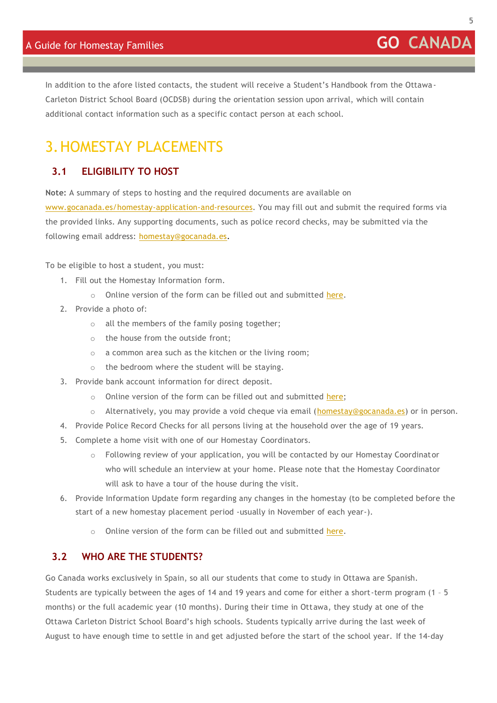In addition to the afore listed contacts, the student will receive a Student's Handbook from the Ottawa-Carleton District School Board (OCDSB) during the orientation session upon arrival, which will contain additional contact information such as a specific contact person at each school.

# <span id="page-4-0"></span>3.HOMESTAY PLACEMENTS

#### <span id="page-4-1"></span>**3.1 ELIGIBILITY TO HOST**

**Note:** A summary of steps to hosting and the required documents are available on

[www.gocanada.es/homestay-application-and-resources. Y](http://www.gocanada.es/homestay-application-and-resources)ou may fill out and submit the required forms via the provided links. Any supporting documents, such as police record checks, may be submitted via the following email address: [homestay@gocanada.es.](mailto:homestay@gocanada.es.)

To be eligible to host a student, you must:

- 1. Fill out the Homestay Information form.
	- o Online version of the form can be filled out and submitted [here.](https://form.jotformeu.com/GoCanada/homestay-information-form)
- 2. Provide a photo of:
	- o all the members of the family posing together;
	- o the house from the outside front;
	- o a common area such as the kitchen or the living room;
	- o the bedroom where the student will be staying.
- 3. Provide bank account information for direct deposit.
	- o Online version of the form can be filled out and submitted [here;](https://form.jotformeu.com/GoCanada/hosting-compensation-details)
	- o Alternatively, you may provide a void cheque via email [\(homestay@gocanada.es\)](mailto:homestay@gocanada.es) or in person.
- 4. Provide Police Record Checks for all persons living at the household over the age of 19 years.
- 5. Complete a home visit with one of our Homestay Coordinators.
	- o Following review of your application, you will be contacted by our Homestay Coordinator who will schedule an interview at your home. Please note that the Homestay Coordinator will ask to have a tour of the house during the visit.
- 6. Provide Information Update form regarding any changes in the homestay (to be completed before the start of a new homestay placement period -usually in November of each year-).
	- o Online version of the form can be filled out and submitted [here.](https://form.jotformeu.com/GoCanada/homestay-information-update)

#### <span id="page-4-2"></span>**3.2 WHO ARE THE STUDENTS?**

Go Canada works exclusively in Spain, so all our students that come to study in Ottawa are Spanish. Students are typically between the ages of 14 and 19 years and come for either a short-term program (1 – 5 months) or the full academic year (10 months). During their time in Ottawa, they study at one of the Ottawa Carleton District School Board's high schools. Students typically arrive during the last week of August to have enough time to settle in and get adjusted before the start of the school year. If the 14-day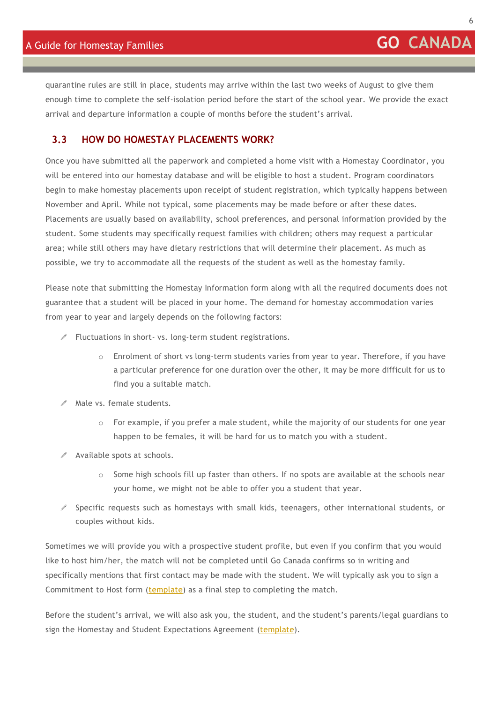quarantine rules are still in place, students may arrive within the last two weeks of August to give them enough time to complete the self-isolation period before the start of the school year. We provide the exact arrival and departure information a couple of months before the student's arrival.

#### <span id="page-5-0"></span>**3.3 HOW DO HOMESTAY PLACEMENTS WORK?**

Once you have submitted all the paperwork and completed a home visit with a Homestay Coordinator, you will be entered into our homestay database and will be eligible to host a student. Program coordinators begin to make homestay placements upon receipt of student registration, which typically happens between November and April. While not typical, some placements may be made before or after these dates. Placements are usually based on availability, school preferences, and personal information provided by the student. Some students may specifically request families with children; others may request a particular area; while still others may have dietary restrictions that will determine their placement. As much as possible, we try to accommodate all the requests of the student as well as the homestay family.

Please note that submitting the Homestay Information form along with all the required documents does not guarantee that a student will be placed in your home. The demand for homestay accommodation varies from year to year and largely depends on the following factors:

- $\mathscr I$  Fluctuations in short- vs. long-term student registrations.
	- $\circ$  Enrolment of short vs long-term students varies from year to year. Therefore, if you have a particular preference for one duration over the other, it may be more difficult for us to find you a suitable match.
- $\mathscr{P}$  Male vs. female students.
	- $\circ$  For example, if you prefer a male student, while the majority of our students for one year happen to be females, it will be hard for us to match you with a student.
- $\triangle$  Available spots at schools.
	- $\circ$  Some high schools fill up faster than others. If no spots are available at the schools near your home, we might not be able to offer you a student that year.
- $\mathscr S$  Specific requests such as homestays with small kids, teenagers, other international students, or couples without kids.

Sometimes we will provide you with a prospective student profile, but even if you confirm that you would like to host him/her, the match will not be completed until Go Canada confirms so in writing and specifically mentions that first contact may be made with the student. We will typically ask you to sign a Commitment to Host form [\(template\)](https://gocanada.es/wp-content/uploads/Commitment-to-Host-2020-2021.pdf) as a final step to completing the match.

Before the student's arrival, we will also ask you, the student, and the student's parents/legal guardians to sign the Homestay and Student Expectations Agreement [\(template\)](https://gocanada.es/wp-content/uploads/Homestay-and-Student-Expectations-Agreement-20202021-version-Pago-mensual-a-Go-Canada-SAMPLE.pdf).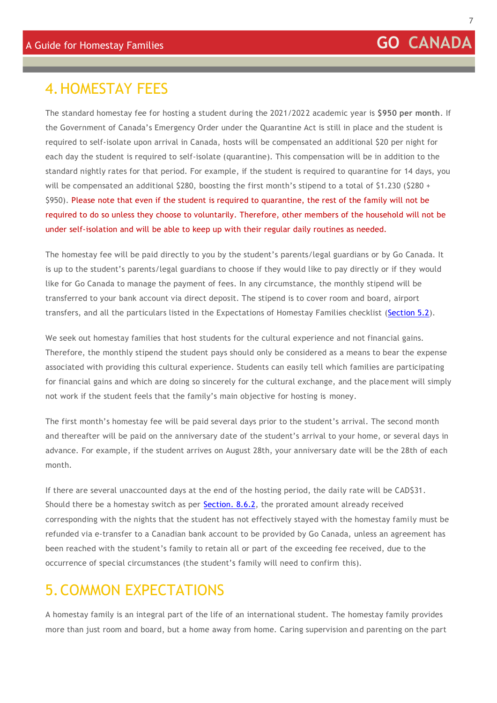# <span id="page-6-0"></span>4.HOMESTAY FEES

The standard homestay fee for hosting a student during the 2021/2022 academic year is **\$950 per month**. If the Government of Canada's Emergency Order under the Quarantine Act is still in place and the student is required to self-isolate upon arrival in Canada, hosts will be compensated an additional \$20 per night for each day the student is required to self-isolate (quarantine). This compensation will be in addition to the standard nightly rates for that period. For example, if the student is required to quarantine for 14 days, you will be compensated an additional \$280, boosting the first month's stipend to a total of \$1.230 (\$280 + \$950). Please note that even if the student is required to quarantine, the rest of the family will not be required to do so unless they choose to voluntarily. Therefore, other members of the household will not be under self-isolation and will be able to keep up with their regular daily routines as needed.

The homestay fee will be paid directly to you by the student's parents/legal guardians or by Go Canada. It is up to the student's parents/legal guardians to choose if they would like to pay directly or if they would like for Go Canada to manage the payment of fees. In any circumstance, the monthly stipend will be transferred to your bank account via direct deposit. The stipend is to cover room and board, airport transfers, and all the particulars listed in the Expectations of Homestay Families checklist [\(Section 5.2\)](#page-8-0).

We seek out homestay families that host students for the cultural experience and not financial gains. Therefore, the monthly stipend the student pays should only be considered as a means to bear the expense associated with providing this cultural experience. Students can easily tell which families are participating for financial gains and which are doing so sincerely for the cultural exchange, and the placement will simply not work if the student feels that the family's main objective for hosting is money.

The first month's homestay fee will be paid several days prior to the student's arrival. The second month and thereafter will be paid on the anniversary date of the student's arrival to your home, or several days in advance. For example, if the student arrives on August 28th, your anniversary date will be the 28th of each month.

If there are several unaccounted days at the end of the hosting period, the daily rate will be CAD\$31. Should there be a homestay switch as per **Section. 8.6.2**, the prorated amount already received corresponding with the nights that the student has not effectively stayed with the homestay family must be refunded via e-transfer to a Canadian bank account to be provided by Go Canada, unless an agreement has been reached with the student's family to retain all or part of the exceeding fee received, due to the occurrence of special circumstances (the student's family will need to confirm this).

# <span id="page-6-1"></span>5.COMMON EXPECTATIONS

A homestay family is an integral part of the life of an international student. The homestay family provides more than just room and board, but a home away from home. Caring supervision and parenting on the part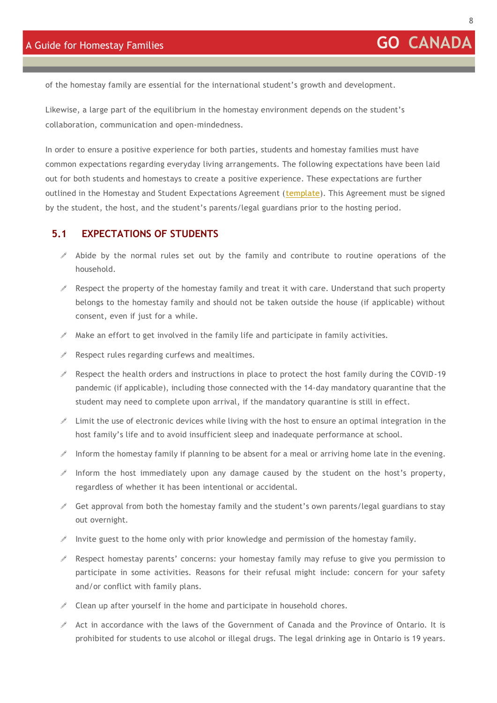Likewise, a large part of the equilibrium in the homestay environment depends on the student's collaboration, communication and open-mindedness.

In order to ensure a positive experience for both parties, students and homestay families must have common expectations regarding everyday living arrangements. The following expectations have been laid out for both students and homestays to create a positive experience. These expectations are further outlined in the Homestay and Student Expectations Agreement [\(template\)](https://gocanada.es/wp-content/uploads/Homestay-and-Student-Expectations-Agreement-20202021-version-Pago-mensual-a-Go-Canada-SAMPLE.pdf). This Agreement must be signed by the student, the host, and the student's parents/legal guardians prior to the hosting period.

#### <span id="page-7-0"></span>**5.1 EXPECTATIONS OF STUDENTS**

- $\mathscr I$  Abide by the normal rules set out by the family and contribute to routine operations of the household.
- $\ell$  Respect the property of the homestay family and treat it with care. Understand that such property belongs to the homestay family and should not be taken outside the house (if applicable) without consent, even if just for a while.
- $\mathscr N$  Make an effort to get involved in the family life and participate in family activities.
- $\triangle$  Respect rules regarding curfews and mealtimes.
- $\ell$  Respect the health orders and instructions in place to protect the host family during the COVID-19 pandemic (if applicable), including those connected with the 14-day mandatory quarantine that the student may need to complete upon arrival, if the mandatory quarantine is still in effect.
- $\ell$  Limit the use of electronic devices while living with the host to ensure an optimal integration in the host family's life and to avoid insufficient sleep and inadequate performance at school.
- Inform the homestay family if planning to be absent for a meal or arriving home late in the evening.
- $\mathcal I$  Inform the host immediately upon any damage caused by the student on the host's property, regardless of whether it has been intentional or accidental.
- $\mathscr S$  Get approval from both the homestay family and the student's own parents/legal guardians to stay out overnight.
- Invite guest to the home only with prior knowledge and permission of the homestay family.
- $\mathscr S$  Respect homestay parents' concerns: your homestay family may refuse to give you permission to participate in some activities. Reasons for their refusal might include: concern for your safety and/or conflict with family plans.
- $\ell$  Clean up after yourself in the home and participate in household chores.
- $\mathscr A$  Act in accordance with the laws of the Government of Canada and the Province of Ontario. It is prohibited for students to use alcohol or illegal drugs. The legal drinking age in Ontario is 19 years.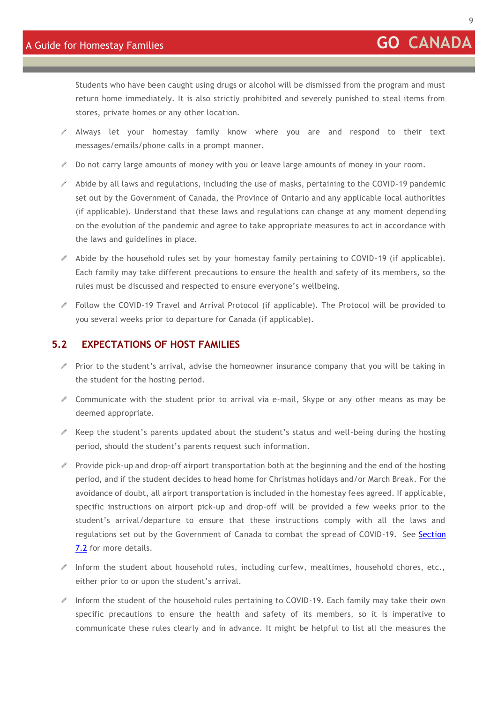Students who have been caught using drugs or alcohol will be dismissed from the program and must return home immediately. It is also strictly prohibited and severely punished to steal items from stores, private homes or any other location.

- $\mathscr A$  Always let your homestay family know where you are and respond to their text messages/emails/phone calls in a prompt manner.
- **Do not carry large amounts of money with you or leave large amounts of money in your room.**
- $\triangle$  Abide by all laws and regulations, including the use of masks, pertaining to the COVID-19 pandemic set out by the Government of Canada, the Province of Ontario and any applicable local authorities (if applicable). Understand that these laws and regulations can change at any moment depending on the evolution of the pandemic and agree to take appropriate measures to act in accordance with the laws and guidelines in place.
- $\mathscr I$  Abide by the household rules set by your homestay family pertaining to COVID-19 (if applicable). Each family may take different precautions to ensure the health and safety of its members, so the rules must be discussed and respected to ensure everyone's wellbeing.
- Follow the COVID-19 Travel and Arrival Protocol (if applicable). The Protocol will be provided to you several weeks prior to departure for Canada (if applicable).

#### <span id="page-8-0"></span>**5.2 EXPECTATIONS OF HOST FAMILIES**

- $\mathscr S$  Prior to the student's arrival, advise the homeowner insurance company that you will be taking in the student for the hosting period.
- $\ell$  Communicate with the student prior to arrival via e-mail, Skype or any other means as may be deemed appropriate.
- $\mathscr I$  Keep the student's parents updated about the student's status and well-being during the hosting period, should the student's parents request such information.
- Provide pick-up and drop-off airport transportation both at the beginning and the end of the hosting period, and if the student decides to head home for Christmas holidays and/or March Break. For the avoidance of doubt, all airport transportation is included in the homestay fees agreed. If applicable, specific instructions on airport pick-up and drop-off will be provided a few weeks prior to the student's arrival/departure to ensure that these instructions comply with all the laws and regulations set out by the Government of Canada to combat the spread of COVID-19. See [Section](#page-12-0)  [7.2](#page-12-0) for more details.
- $\ell$  Inform the student about household rules, including curfew, mealtimes, household chores, etc., either prior to or upon the student's arrival.
- $\ell$  Inform the student of the household rules pertaining to COVID-19. Each family may take their own specific precautions to ensure the health and safety of its members, so it is imperative to communicate these rules clearly and in advance. It might be helpful to list all the measures the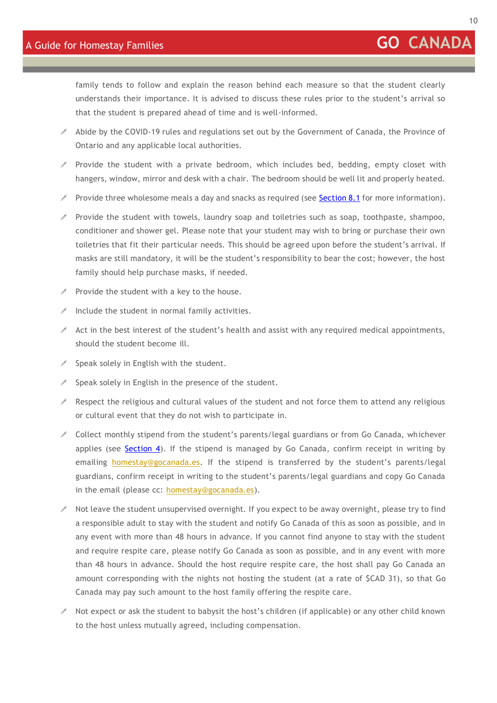family tends to follow and explain the reason behind each measure so that the student clearly understands their importance. It is advised to discuss these rules prior to the student's arrival so that the student is prepared ahead of time and is well-informed.

- Abide by the COVID-19 rules and regulations set out by the Government of Canada, the Province of Ontario and any applicable local authorities.
- $\mathscr S$  Provide the student with a private bedroom, which includes bed, bedding, empty closet with hangers, window, mirror and desk with a chair. The bedroom should be well lit and properly heated.
- Provide three wholesome meals a day and snacks as required (see **[Section 8.1](#page-16-2)** for more information).
- $\ell$  Provide the student with towels, laundry soap and toiletries such as soap, toothpaste, shampoo, conditioner and shower gel. Please note that your student may wish to bring or purchase their own toiletries that fit their particular needs. This should be agreed upon before the student's arrival. If masks are still mandatory, it will be the student's responsibility to bear the cost; however, the host family should help purchase masks, if needed.
- $\ell$  Provide the student with a key to the house.
- $\triangle$  Include the student in normal family activities.
- $\mathscr I$  Act in the best interest of the student's health and assist with any required medical appointments, should the student become ill.
- $\mathscr S$  Speak solely in English with the student.
- $\triangle$  Speak solely in English in the presence of the student.
- $\ell$  Respect the religious and cultural values of the student and not force them to attend any religious or cultural event that they do not wish to participate in.
- $\ell$  Collect monthly stipend from the student's parents/legal guardians or from Go Canada, whichever applies (see [Section 4\)](#page-6-0). If the stipend is managed by Go Canada, confirm receipt in writing by emailing [homestay@gocanada.es.](mailto:homestay@gocanada.es) If the stipend is transferred by the student's parents/legal guardians, confirm receipt in writing to the student's parents/legal guardians and copy Go Canada in the email (please cc: [homestay@gocanada.es\)](mailto:homestay@gocanada.es).
- $\mathscr I$  Not leave the student unsupervised overnight. If you expect to be away overnight, please try to find a responsible adult to stay with the student and notify Go Canada of this as soon as possible, and in any event with more than 48 hours in advance. If you cannot find anyone to stay with the student and require respite care, please notify Go Canada as soon as possible, and in any event with more than 48 hours in advance. Should the host require respite care, the host shall pay Go Canada an amount corresponding with the nights not hosting the student (at a rate of \$CAD 31), so that Go Canada may pay such amount to the host family offering the respite care.
- $\ell$  Not expect or ask the student to babysit the host's children (if applicable) or any other child known to the host unless mutually agreed, including compensation.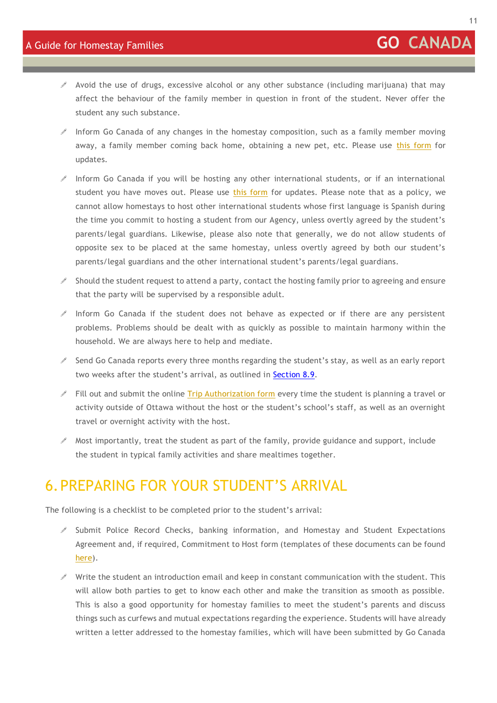- $\ell$  Avoid the use of drugs, excessive alcohol or any other substance (including marijuana) that may affect the behaviour of the family member in question in front of the student. Never offer the student any such substance.
- $\mathscr I$  Inform Go Canada of any changes in the homestay composition, such as a family member moving away, a family member coming back home, obtaining a new pet, etc. Please use [this form](https://form.jotformeu.com/GoCanada/homestay-information-update) for updates.
- Inform Go Canada if you will be hosting any other international students, or if an international student you have moves out. Please use [this form](https://form.jotformeu.com/GoCanada/homestay-information-update) for updates. Please note that as a policy, we cannot allow homestays to host other international students whose first language is Spanish during the time you commit to hosting a student from our Agency, unless overtly agreed by the student's parents/legal guardians. Likewise, please also note that generally, we do not allow students of opposite sex to be placed at the same homestay, unless overtly agreed by both our student's parents/legal guardians and the other international student's parents/legal guardians.
- $\ell$  Should the student request to attend a party, contact the hosting family prior to agreeing and ensure that the party will be supervised by a responsible adult.
- $\mathscr I$  Inform Go Canada if the student does not behave as expected or if there are any persistent problems. Problems should be dealt with as quickly as possible to maintain harmony within the household. We are always here to help and mediate.
- $\mathscr S$  Send Go Canada reports every three months regarding the student's stay, as well as an early report two weeks after the student's arrival, as outlined in [Section 8.9.](#page-23-1)
- Fill out and submit the online  $\overline{\text{Tip}}$  Authorization form every time the student is planning a travel or activity outside of Ottawa without the host or the student's school's staff, as well as an overnight travel or overnight activity with the host.
- $\mathscr I$  Most importantly, treat the student as part of the family, provide guidance and support, include the student in typical family activities and share mealtimes together.

# <span id="page-10-0"></span>6.PREPARING FOR YOUR STUDENT'S ARRIVAL

The following is a checklist to be completed prior to the student's arrival:

- $\mathscr S$  Submit Police Record Checks, banking information, and Homestay and Student Expectations Agreement and, if required, Commitment to Host form (templates of these documents can be found [here\)](http://www.gocanada.es/homestay-application-and-resources).
- $\mathscr I$  Write the student an introduction email and keep in constant communication with the student. This will allow both parties to get to know each other and make the transition as smooth as possible. This is also a good opportunity for homestay families to meet the student's parents and discuss things such as curfews and mutual expectations regarding the experience. Students will have already written a letter addressed to the homestay families, which will have been submitted by Go Canada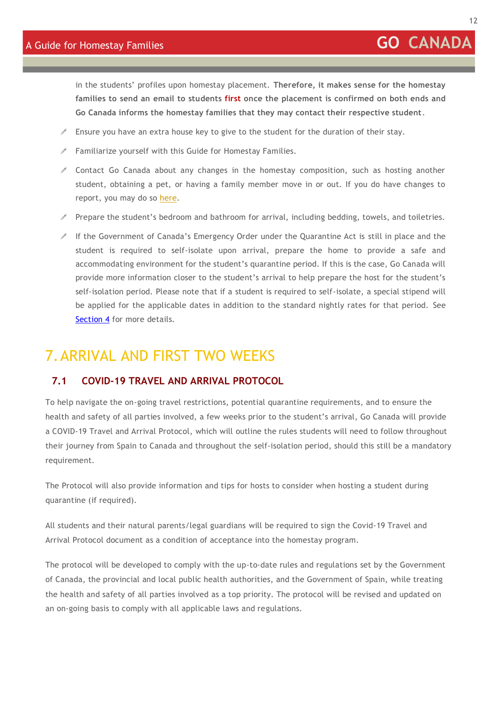in the students' profiles upon homestay placement. **Therefore, it makes sense for the homestay families to send an email to students first once the placement is confirmed on both ends and Go Canada informs the homestay families that they may contact their respective student**.

- $\mathscr I$  Ensure you have an extra house key to give to the student for the duration of their stay.
- $\mathscr I$  Familiarize yourself with this Guide for Homestay Families.
- $\ell$  Contact Go Canada about any changes in the homestay composition, such as hosting another student, obtaining a pet, or having a family member move in or out. If you do have changes to report, you may do so [here.](https://form.jotformeu.com/GoCanada/homestay-information-update)
- $\mathscr S$  Prepare the student's bedroom and bathroom for arrival, including bedding, towels, and toiletries.
- If the Government of Canada's Emergency Order under the Quarantine Act is still in place and the student is required to self-isolate upon arrival, prepare the home to provide a safe and accommodating environment for the student's quarantine period. If this is the case, Go Canada will provide more information closer to the student's arrival to help prepare the host for the student's self-isolation period. Please note that if a student is required to self-isolate, a special stipend will be applied for the applicable dates in addition to the standard nightly rates for that period. See [Section 4](#page-6-0) for more details.

# <span id="page-11-0"></span>7.ARRIVAL AND FIRST TWO WEEKS

#### <span id="page-11-1"></span>**7.1 COVID-19 TRAVEL AND ARRIVAL PROTOCOL**

To help navigate the on-going travel restrictions, potential quarantine requirements, and to ensure the health and safety of all parties involved, a few weeks prior to the student's arrival, Go Canada will provide a COVID-19 Travel and Arrival Protocol, which will outline the rules students will need to follow throughout their journey from Spain to Canada and throughout the self-isolation period, should this still be a mandatory requirement.

The Protocol will also provide information and tips for hosts to consider when hosting a student during quarantine (if required).

All students and their natural parents/legal guardians will be required to sign the Covid-19 Travel and Arrival Protocol document as a condition of acceptance into the homestay program.

The protocol will be developed to comply with the up-to-date rules and regulations set by the Government of Canada, the provincial and local public health authorities, and the Government of Spain, while treating the health and safety of all parties involved as a top priority. The protocol will be revised and updated on an on-going basis to comply with all applicable laws and regulations.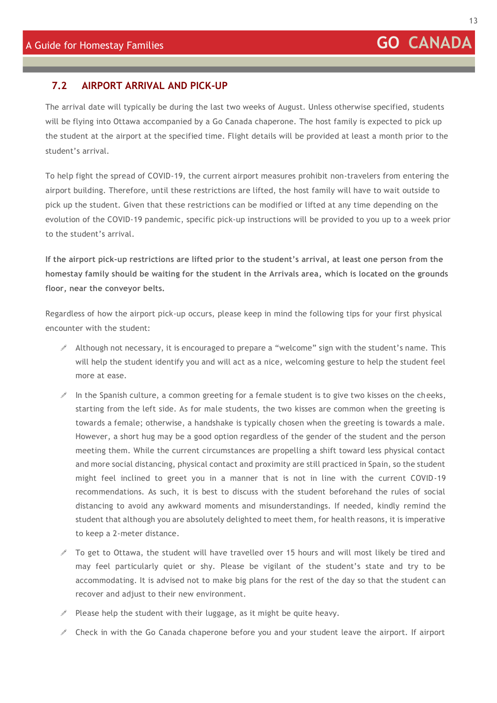13

#### <span id="page-12-0"></span>**7.2 AIRPORT ARRIVAL AND PICK-UP**

The arrival date will typically be during the last two weeks of August. Unless otherwise specified, students will be flying into Ottawa accompanied by a Go Canada chaperone. The host family is expected to pick up the student at the airport at the specified time. Flight details will be provided at least a month prior to the student's arrival.

To help fight the spread of COVID-19, the current airport measures prohibit non-travelers from entering the airport building. Therefore, until these restrictions are lifted, the host family will have to wait outside to pick up the student. Given that these restrictions can be modified or lifted at any time depending on the evolution of the COVID-19 pandemic, specific pick-up instructions will be provided to you up to a week prior to the student's arrival.

**If the airport pick-up restrictions are lifted prior to the student's arrival, at least one person from the homestay family should be waiting for the student in the Arrivals area, which is located on the grounds floor, near the conveyor belts.**

Regardless of how the airport pick-up occurs, please keep in mind the following tips for your first physical encounter with the student:

- $\mathscr I$  Although not necessary, it is encouraged to prepare a "welcome" sign with the student's name. This will help the student identify you and will act as a nice, welcoming gesture to help the student feel more at ease.
- In the Spanish culture, a common greeting for a female student is to give two kisses on the cheeks, starting from the left side. As for male students, the two kisses are common when the greeting is towards a female; otherwise, a handshake is typically chosen when the greeting is towards a male. However, a short hug may be a good option regardless of the gender of the student and the person meeting them. While the current circumstances are propelling a shift toward less physical contact and more social distancing, physical contact and proximity are still practiced in Spain, so the student might feel inclined to greet you in a manner that is not in line with the current COVID-19 recommendations. As such, it is best to discuss with the student beforehand the rules of social distancing to avoid any awkward moments and misunderstandings. If needed, kindly remind the student that although you are absolutely delighted to meet them, for health reasons, it is imperative to keep a 2-meter distance.
- $\mathscr I$  To get to Ottawa, the student will have travelled over 15 hours and will most likely be tired and may feel particularly quiet or shy. Please be vigilant of the student's state and try to be accommodating. It is advised not to make big plans for the rest of the day so that the student c an recover and adjust to their new environment.
- $\ell$  Please help the student with their luggage, as it might be quite heavy.
- $\mathscr I$  Check in with the Go Canada chaperone before you and your student leave the airport. If airport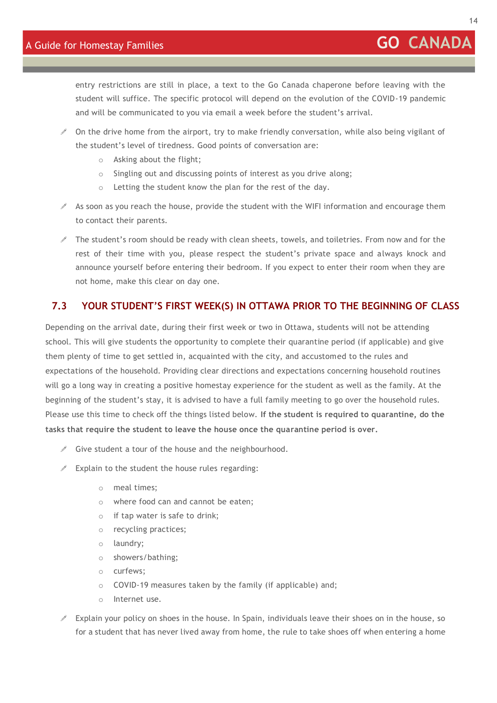entry restrictions are still in place, a text to the Go Canada chaperone before leaving with the student will suffice. The specific protocol will depend on the evolution of the COVID-19 pandemic and will be communicated to you via email a week before the student's arrival.

- $\ell$  On the drive home from the airport, try to make friendly conversation, while also being vigilant of the student's level of tiredness. Good points of conversation are:
	- o Asking about the flight;
	- o Singling out and discussing points of interest as you drive along;
	- o Letting the student know the plan for the rest of the day.
- $\mathscr I$  As soon as you reach the house, provide the student with the WIFI information and encourage them to contact their parents.
- $\mathscr I$  The student's room should be ready with clean sheets, towels, and toiletries. From now and for the rest of their time with you, please respect the student's private space and always knock and announce yourself before entering their bedroom. If you expect to enter their room when they are not home, make this clear on day one.

#### <span id="page-13-0"></span>**7.3 YOUR STUDENT'S FIRST WEEK(S) IN OTTAWA PRIOR TO THE BEGINNING OF CLASS**

Depending on the arrival date, during their first week or two in Ottawa, students will not be attending school. This will give students the opportunity to complete their quarantine period (if applicable) and give them plenty of time to get settled in, acquainted with the city, and accustomed to the rules and expectations of the household. Providing clear directions and expectations concerning household routines will go a long way in creating a positive homestay experience for the student as well as the family. At the beginning of the student's stay, it is advised to have a full family meeting to go over the household rules. Please use this time to check off the things listed below. **If the student is required to quarantine, do the tasks that require the student to leave the house once the quarantine period is over.**

- $\mathscr S$  Give student a tour of the house and the neighbourhood.
- $\mathscr I$  Explain to the student the house rules regarding:
	- o meal times;
	- o where food can and cannot be eaten;
	- o if tap water is safe to drink;
	- o recycling practices;
	- o laundry;
	- o showers/bathing;
	- o curfews;
	- o COVID-19 measures taken by the family (if applicable) and;
	- o Internet use.
- $\ell$  Explain your policy on shoes in the house. In Spain, individuals leave their shoes on in the house, so for a student that has never lived away from home, the rule to take shoes off when entering a home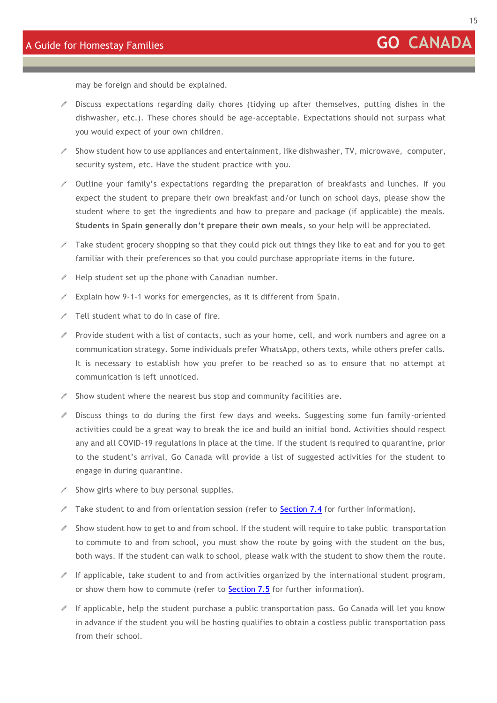15

may be foreign and should be explained.

- $\mathscr I$  Discuss expectations regarding daily chores (tidying up after themselves, putting dishes in the dishwasher, etc.). These chores should be age-acceptable. Expectations should not surpass what you would expect of your own children.
- $\mathscr S$  Show student how to use appliances and entertainment, like dishwasher, TV, microwave, computer, security system, etc. Have the student practice with you.
- $\ell$  Outline your family's expectations regarding the preparation of breakfasts and lunches. If you expect the student to prepare their own breakfast and/or lunch on school days, please show the student where to get the ingredients and how to prepare and package (if applicable) the meals. **Students in Spain generally don't prepare their own meals**, so your help will be appreciated.
- $\ell$  Take student grocery shopping so that they could pick out things they like to eat and for you to get familiar with their preferences so that you could purchase appropriate items in the future.
- $\mathscr I$  Help student set up the phone with Canadian number.
- $\mathscr I$  Explain how 9-1-1 works for emergencies, as it is different from Spain.
- $\ell$  Tell student what to do in case of fire.
- $\mathscr I$  Provide student with a list of contacts, such as your home, cell, and work numbers and agree on a communication strategy. Some individuals prefer WhatsApp, others texts, while others prefer calls. It is necessary to establish how you prefer to be reached so as to ensure that no attempt at communication is left unnoticed.
- $\mathscr I$  Show student where the nearest bus stop and community facilities are.
- Discuss things to do during the first few days and weeks. Suggesting some fun family-oriented activities could be a great way to break the ice and build an initial bond. Activities should respect any and all COVID-19 regulations in place at the time. If the student is required to quarantine, prior to the student's arrival, Go Canada will provide a list of suggested activities for the student to engage in during quarantine.
- $\mathscr S$  Show girls where to buy personal supplies.
- $\mathscr I$  Take student to and from orientation session (refer to [Section 7.4](#page-15-0) for further information).
- $\mathscr I$  Show student how to get to and from school. If the student will require to take public transportation to commute to and from school, you must show the route by going with the student on the bus, both ways. If the student can walk to school, please walk with the student to show them the route.
- $\mathscr I$  If applicable, take student to and from activities organized by the international student program, or show them how to commute (refer to [Section 7.5](#page-15-1) for further information).
- If applicable, help the student purchase a public transportation pass. Go Canada will let you know in advance if the student you will be hosting qualifies to obtain a costless public transportation pass from their school.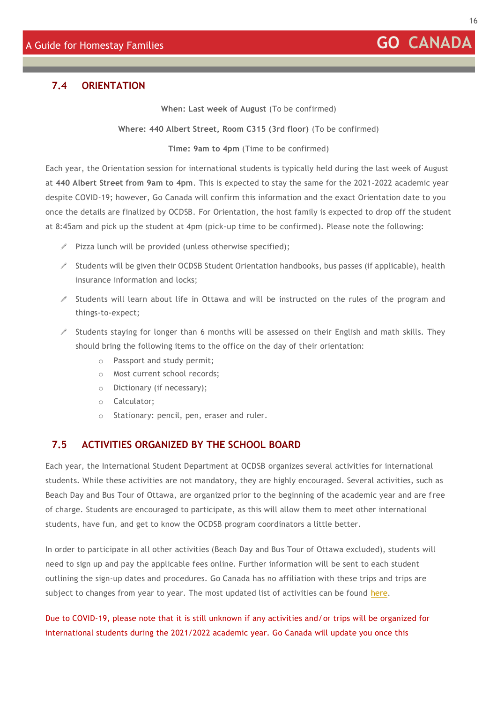16

#### <span id="page-15-0"></span>**7.4 ORIENTATION**

**When: Last week of August** (To be confirmed)

**Where: 440 Albert Street, Room C315 (3rd floor)** (To be confirmed)

**Time: 9am to 4pm** (Time to be confirmed)

Each year, the Orientation session for international students is typically held during the last week of August at **440 Albert Street from 9am to 4pm**. This is expected to stay the same for the 2021-2022 academic year despite COVID-19; however, Go Canada will confirm this information and the exact Orientation date to you once the details are finalized by OCDSB. For Orientation, the host family is expected to drop off the student at 8:45am and pick up the student at 4pm (pick-up time to be confirmed). Please note the following:

- $\mathscr P$  Pizza lunch will be provided (unless otherwise specified);
- $\mathscr S$  Students will be given their OCDSB Student Orientation handbooks, bus passes (if applicable), health insurance information and locks;
- $\mathscr I$  Students will learn about life in Ottawa and will be instructed on the rules of the program and things-to-expect;
- Students staying for longer than 6 months will be assessed on their English and math skills. They should bring the following items to the office on the day of their orientation:
	- o Passport and study permit;
	- o Most current school records;
	- o Dictionary (if necessary);
	- o Calculator;
	- o Stationary: pencil, pen, eraser and ruler.

#### <span id="page-15-1"></span>**7.5 ACTIVITIES ORGANIZED BY THE SCHOOL BOARD**

Each year, the International Student Department at OCDSB organizes several activities for international students. While these activities are not mandatory, they are highly encouraged. Several activities, such as Beach Day and Bus Tour of Ottawa, are organized prior to the beginning of the academic year and are free of charge. Students are encouraged to participate, as this will allow them to meet other international students, have fun, and get to know the OCDSB program coordinators a little better.

In order to participate in all other activities (Beach Day and Bus Tour of Ottawa excluded), students will need to sign up and pay the applicable fees online. Further information will be sent to each student outlining the sign-up dates and procedures. Go Canada has no affiliation with these trips and trips are subject to changes from year to year. The most updated list of activities can be found [here.](http://www.studyottawa.ca/website/page/show/student-activities?lang=en&docID=9)

Due to COVID-19, please note that it is still unknown if any activities and/or trips will be organized for international students during the 2021/2022 academic year. Go Canada will update you once this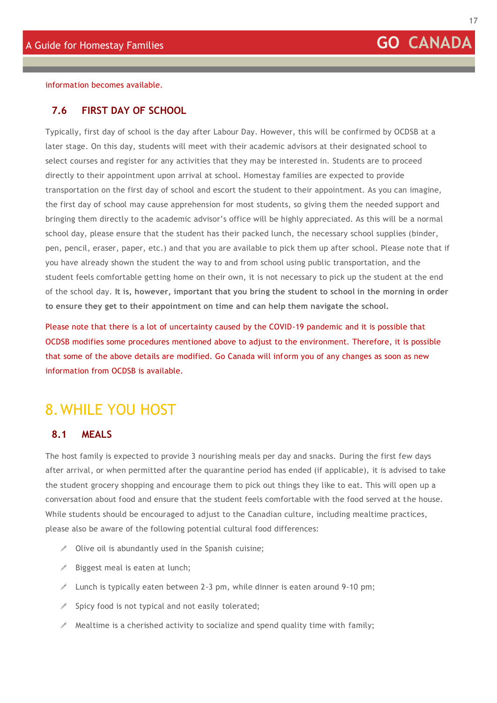<span id="page-16-0"></span>information becomes available.

#### **7.6 FIRST DAY OF SCHOOL**

Typically, first day of school is the day after Labour Day. However, this will be confirmed by OCDSB at a later stage. On this day, students will meet with their academic advisors at their designated school to select courses and register for any activities that they may be interested in. Students are to proceed directly to their appointment upon arrival at school. Homestay families are expected to provide transportation on the first day of school and escort the student to their appointment. As you can imagine, the first day of school may cause apprehension for most students, so giving them the needed support and bringing them directly to the academic advisor's office will be highly appreciated. As this will be a normal school day, please ensure that the student has their packed lunch, the necessary school supplies (binder, pen, pencil, eraser, paper, etc.) and that you are available to pick them up after school. Please note that if you have already shown the student the way to and from school using public transportation, and the student feels comfortable getting home on their own, it is not necessary to pick up the student at the end of the school day. **It is, however, important that you bring the student to school in the morning in order to ensure they get to their appointment on time and can help them navigate the school.**

Please note that there is a lot of uncertainty caused by the COVID-19 pandemic and it is possible that OCDSB modifies some procedures mentioned above to adjust to the environment. Therefore, it is possible that some of the above details are modified. Go Canada will inform you of any changes as soon as new information from OCDSB is available.

## <span id="page-16-2"></span><span id="page-16-1"></span>8.WHILE YOU HOST

#### **8.1 MEALS**

The host family is expected to provide 3 nourishing meals per day and snacks. During the first few days after arrival, or when permitted after the quarantine period has ended (if applicable), it is advised to take the student grocery shopping and encourage them to pick out things they like to eat. This will open up a conversation about food and ensure that the student feels comfortable with the food served at the house. While students should be encouraged to adjust to the Canadian culture, including mealtime practices, please also be aware of the following potential cultural food differences:

- $\triangle$  Olive oil is abundantly used in the Spanish cuisine;
- $\mathscr{I}$  Biggest meal is eaten at lunch;
- $\ell$  Lunch is typically eaten between 2-3 pm, while dinner is eaten around 9-10 pm;
- $\triangle$  Spicy food is not typical and not easily tolerated;
- $\mathscr I$  Mealtime is a cherished activity to socialize and spend quality time with family;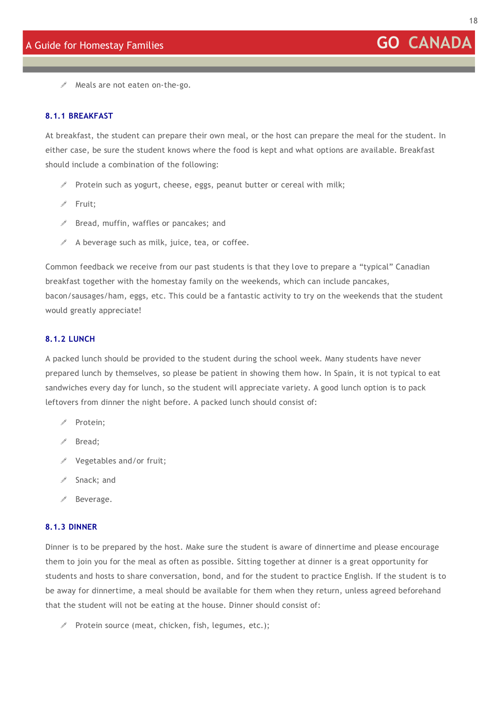

Meals are not eaten on-the-go.

#### <span id="page-17-0"></span>**8.1.1 BREAKFAST**

At breakfast, the student can prepare their own meal, or the host can prepare the meal for the student. In either case, be sure the student knows where the food is kept and what options are available. Breakfast should include a combination of the following:

- Protein such as yogurt, cheese, eggs, peanut butter or cereal with milk;
- $\mathscr{P}$  Fruit:
- $\mathscr S$  Bread, muffin, waffles or pancakes; and
- $\triangle$  A beverage such as milk, juice, tea, or coffee.

Common feedback we receive from our past students is that they love to prepare a "typical" Canadian breakfast together with the homestay family on the weekends, which can include pancakes, bacon/sausages/ham, eggs, etc. This could be a fantastic activity to try on the weekends that the student would greatly appreciate!

#### <span id="page-17-1"></span>**8.1.2 LUNCH**

A packed lunch should be provided to the student during the school week. Many students have never prepared lunch by themselves, so please be patient in showing them how. In Spain, it is not typical to eat sandwiches every day for lunch, so the student will appreciate variety. A good lunch option is to pack leftovers from dinner the night before. A packed lunch should consist of:

- $\triangle$  Protein:
- Bread;
- $\ell$  Vegetables and/or fruit;
- Snack; and
- Beverage.

#### <span id="page-17-2"></span>**8.1.3 DINNER**

Dinner is to be prepared by the host. Make sure the student is aware of dinnertime and please encourage them to join you for the meal as often as possible. Sitting together at dinner is a great opportunity for students and hosts to share conversation, bond, and for the student to practice English. If the student is to be away for dinnertime, a meal should be available for them when they return, unless agreed beforehand that the student will not be eating at the house. Dinner should consist of:

 $\mathscr P$  Protein source (meat, chicken, fish, legumes, etc.);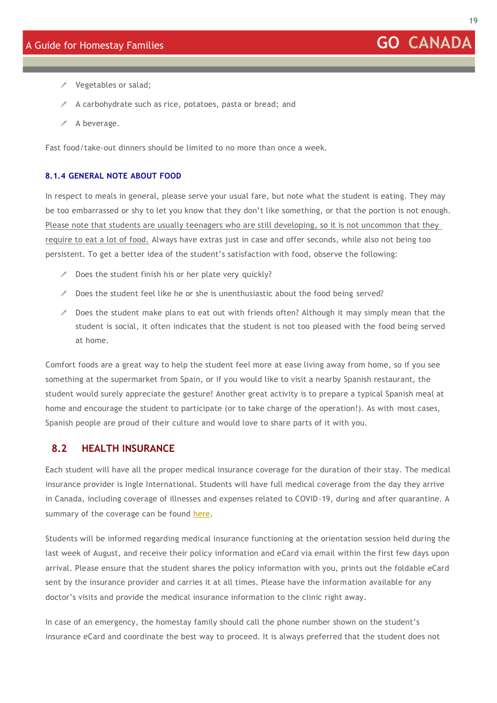- $\mathscr{S}$  Vegetables or salad;
- $\mathscr I$  A carbohydrate such as rice, potatoes, pasta or bread; and
- $\mathscr X$  A beverage.

Fast food/take-out dinners should be limited to no more than once a week.

#### <span id="page-18-0"></span>**8.1.4 GENERAL NOTE ABOUT FOOD**

In respect to meals in general, please serve your usual fare, but note what the student is eating. They may be too embarrassed or shy to let you know that they don't like something, or that the portion is not enough. Please note that students are usually teenagers who are still developing, so it is not uncommon that they require to eat a lot of food. Always have extras just in case and offer seconds, while also not being too persistent. To get a better idea of the student's satisfaction with food, observe the following:

- $\mathscr P$  Does the student finish his or her plate very quickly?
- $\triangle$  Does the student feel like he or she is unenthusiastic about the food being served?
- $\ell$  Does the student make plans to eat out with friends often? Although it may simply mean that the student is social, it often indicates that the student is not too pleased with the food being served at home.

Comfort foods are a great way to help the student feel more at ease living away from home, so if you see something at the supermarket from Spain, or if you would like to visit a nearby Spanish restaurant, the student would surely appreciate the gesture! Another great activity is to prepare a typical Spanish meal at home and encourage the student to participate (or to take charge of the operation!). As with most cases, Spanish people are proud of their culture and would love to share parts of it with you.

#### <span id="page-18-1"></span>**8.2 HEALTH INSURANCE**

Each student will have all the proper medical insurance coverage for the duration of their stay. The medical insurance provider is Ingle International. Students will have full medical coverage from the day they arrive in Canada, including coverage of illnesses and expenses related to COVID-19, during and after quarantine. A summary of the coverage can be found [here.](https://www.ingletravel.com/docs/Student/Lloyds/ComprehensivePlus/ComprehensivePlus_BenefitSummary_English.pdf)

Students will be informed regarding medical insurance functioning at the orientation session held during the last week of August, and receive their policy information and eCard via email within the first few days upon arrival. Please ensure that the student shares the policy information with you, prints out the foldable eCard sent by the insurance provider and carries it at all times. Please have the information available for any doctor's visits and provide the medical insurance information to the clinic right away.

In case of an emergency, the homestay family should call the phone number shown on the student's insurance eCard and coordinate the best way to proceed. It is always preferred that the student does not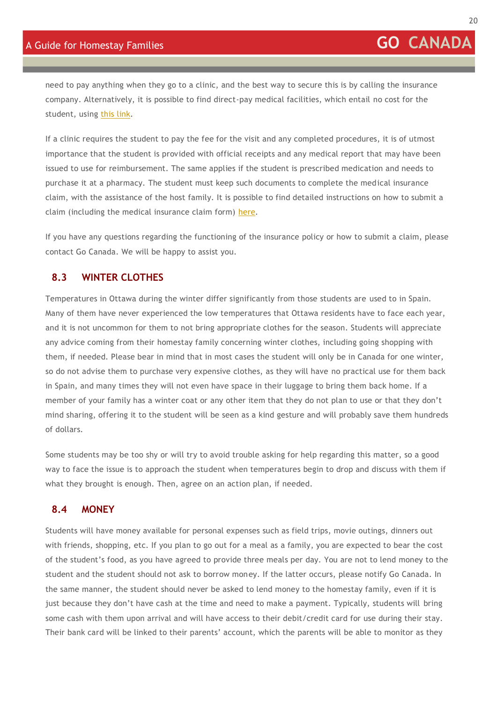need to pay anything when they go to a clinic, and the best way to secure this is by calling the insurance company. Alternatively, it is possible to find direct-pay medical facilities, which entail no cost for the student, using [this link.](https://www.studyinsured.com/ocenet/en/health-services)

If a clinic requires the student to pay the fee for the visit and any completed procedures, it is of utmost importance that the student is provided with official receipts and any medical report that may have been issued to use for reimbursement. The same applies if the student is prescribed medication and needs to purchase it at a pharmacy. The student must keep such documents to complete the medical insurance claim, with the assistance of the host family. It is possible to find detailed instructions on how to submit a claim (including the medical insurance claim form) [here.](https://www.studyinsured.com/ocenet/en/onlineclaim)

If you have any questions regarding the functioning of the insurance policy or how to submit a claim, please contact Go Canada. We will be happy to assist you.

#### <span id="page-19-0"></span>**8.3 WINTER CLOTHES**

Temperatures in Ottawa during the winter differ significantly from those students are used to in Spain. Many of them have never experienced the low temperatures that Ottawa residents have to face each year, and it is not uncommon for them to not bring appropriate clothes for the season. Students will appreciate any advice coming from their homestay family concerning winter clothes, including going shopping with them, if needed. Please bear in mind that in most cases the student will only be in Canada for one winter, so do not advise them to purchase very expensive clothes, as they will have no practical use for them back in Spain, and many times they will not even have space in their luggage to bring them back home. If a member of your family has a winter coat or any other item that they do not plan to use or that they don't mind sharing, offering it to the student will be seen as a kind gesture and will probably save them hundreds of dollars.

Some students may be too shy or will try to avoid trouble asking for help regarding this matter, so a good way to face the issue is to approach the student when temperatures begin to drop and discuss with them if what they brought is enough. Then, agree on an action plan, if needed.

#### <span id="page-19-1"></span>**8.4 MONEY**

Students will have money available for personal expenses such as field trips, movie outings, dinners out with friends, shopping, etc. If you plan to go out for a meal as a family, you are expected to bear the cost of the student's food, as you have agreed to provide three meals per day. You are not to lend money to the student and the student should not ask to borrow money. If the latter occurs, please notify Go Canada. In the same manner, the student should never be asked to lend money to the homestay family, even if it is just because they don't have cash at the time and need to make a payment. Typically, students will bring some cash with them upon arrival and will have access to their debit/credit card for use during their stay. Their bank card will be linked to their parents' account, which the parents will be able to monitor as they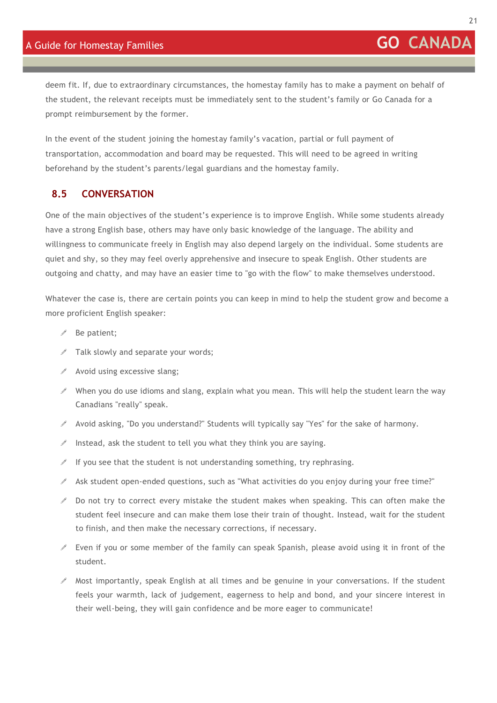deem fit. If, due to extraordinary circumstances, the homestay family has to make a payment on behalf of the student, the relevant receipts must be immediately sent to the student's family or Go Canada for a prompt reimbursement by the former.

In the event of the student joining the homestay family's vacation, partial or full payment of transportation, accommodation and board may be requested. This will need to be agreed in writing beforehand by the student's parents/legal guardians and the homestay family.

#### <span id="page-20-0"></span>**8.5 CONVERSATION**

One of the main objectives of the student's experience is to improve English. While some students already have a strong English base, others may have only basic knowledge of the language. The ability and willingness to communicate freely in English may also depend largely on the individual. Some students are quiet and shy, so they may feel overly apprehensive and insecure to speak English. Other students are outgoing and chatty, and may have an easier time to "go with the flow" to make themselves understood.

Whatever the case is, there are certain points you can keep in mind to help the student grow and become a more proficient English speaker:

- $\mathscr{I}$  Be patient;
- $\mathscr I$  Talk slowly and separate your words;
- $\triangle$  Avoid using excessive slang;
- $\ell$  When you do use idioms and slang, explain what you mean. This will help the student learn the way Canadians "really" speak.
- $\mathscr I$  Avoid asking, "Do you understand?" Students will typically say "Yes" for the sake of harmony.
- $\ell$  Instead, ask the student to tell you what they think you are saying.
- If you see that the student is not understanding something, try rephrasing.
- $\mathscr I$  Ask student open-ended questions, such as "What activities do you enjoy during your free time?"
- $\ell$  Do not try to correct every mistake the student makes when speaking. This can often make the student feel insecure and can make them lose their train of thought. Instead, wait for the student to finish, and then make the necessary corrections, if necessary.
- $\ell$  Even if you or some member of the family can speak Spanish, please avoid using it in front of the student.
- $\ell$  Most importantly, speak English at all times and be genuine in your conversations. If the student feels your warmth, lack of judgement, eagerness to help and bond, and your sincere interest in their well-being, they will gain confidence and be more eager to communicate!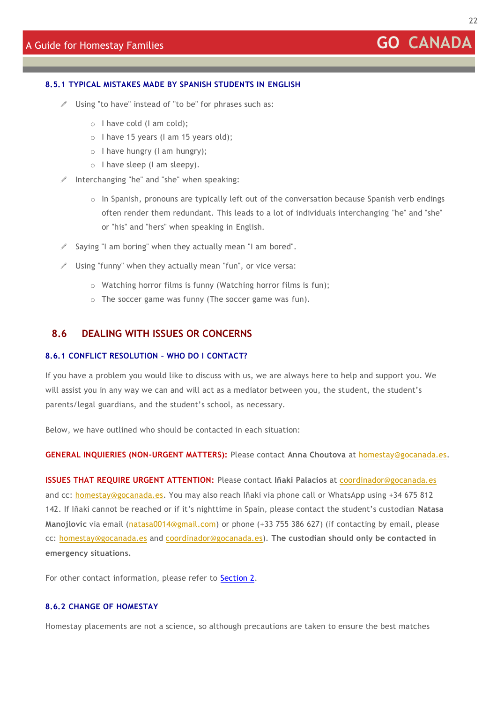#### <span id="page-21-0"></span>**8.5.1 TYPICAL MISTAKES MADE BY SPANISH STUDENTS IN ENGLISH**

- Using "to have" instead of "to be" for phrases such as:
	- o I have cold (I am cold);
	- o I have 15 years (I am 15 years old);
	- o I have hungry (I am hungry);
	- o I have sleep (I am sleepy).
- $\ell$  Interchanging "he" and "she" when speaking:
	- $\circ$  In Spanish, pronouns are typically left out of the conversation because Spanish verb endings often render them redundant. This leads to a lot of individuals interchanging "he" and "she" or "his" and "hers" when speaking in English.
- $\triangle$  Saving "I am boring" when they actually mean "I am bored".
- $\mathscr I$  Using "funny" when they actually mean "fun", or vice versa:
	- o Watching horror films is funny (Watching horror films is fun);
	- o The soccer game was funny (The soccer game was fun).

#### <span id="page-21-1"></span>**8.6 DEALING WITH ISSUES OR CONCERNS**

#### <span id="page-21-2"></span>**8.6.1 CONFLICT RESOLUTION – WHO DO I CONTACT?**

If you have a problem you would like to discuss with us, we are always here to help and support you. We will assist you in any way we can and will act as a mediator between you, the student, the student's parents/legal guardians, and the student's school, as necessary.

Below, we have outlined who should be contacted in each situation:

**GENERAL INQUIERIES (NON-URGENT MATTERS):** Please contact **Anna Choutova** at [homestay@gocanada.es.](mailto:homestay@gocanada.es)

**ISSUES THAT REQUIRE URGENT ATTENTION:** Please contact **Iñaki Palacios** at [coordinador@gocanada.es](mailto:coordinador@gocanada.es) and cc: [homestay@gocanada.es.](mailto:homestay@gocanada.es) You may also reach Iñaki via phone call or WhatsApp using +34 675 812 142. If Iñaki cannot be reached or if it's nighttime in Spain, please contact the student's custodian **Natasa Manojlovic** via email [\(natasa0014@gmail.com\)](mailto:natasa0014@gmail.com) or phone (+33 755 386 627) (if contacting by email, please cc: [homestay@gocanada.es](mailto:homestay@gocanada.es) and [coordinador@gocanada.es\)](mailto:coordinador@gocanada.es). **The custodian should only be contacted in emergency situations.**

For other contact information, please refer to **[Section 2.](#page-3-1)** 

#### <span id="page-21-3"></span>**8.6.2 CHANGE OF HOMESTAY**

Homestay placements are not a science, so although precautions are taken to ensure the best matches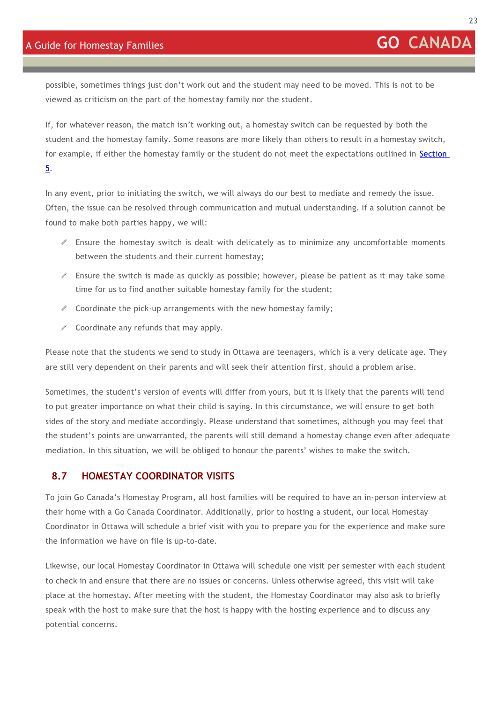possible, sometimes things just don't work out and the student may need to be moved. This is not to be viewed as criticism on the part of the homestay family nor the student.

If, for whatever reason, the match isn't working out, a homestay switch can be requested by both the student and the homestay family. Some reasons are more likely than others to result in a homestay switch, for example, if either the homestay family or the student do not meet the expectations outlined in [Section](#page-6-1)  [5.](#page-6-1)

In any event, prior to initiating the switch, we will always do our best to mediate and remedy the issue. Often, the issue can be resolved through communication and mutual understanding. If a solution cannot be found to make both parties happy, we will:

- $\ell$  Ensure the homestay switch is dealt with delicately as to minimize any uncomfortable moments between the students and their current homestay;
- $\mathscr I$  Ensure the switch is made as quickly as possible; however, please be patient as it may take some time for us to find another suitable homestay family for the student;
- $\mathscr S$  Coordinate the pick-up arrangements with the new homestay family;
- $\triangle$  Coordinate any refunds that may apply.

Please note that the students we send to study in Ottawa are teenagers, which is a very delicate age. They are still very dependent on their parents and will seek their attention first, should a problem arise.

Sometimes, the student's version of events will differ from yours, but it is likely that the parents will tend to put greater importance on what their child is saying. In this circumstance, we will ensure to get both sides of the story and mediate accordingly. Please understand that sometimes, although you may feel that the student's points are unwarranted, the parents will still demand a homestay change even after adequate mediation. In this situation, we will be obliged to honour the parents' wishes to make the switch.

#### <span id="page-22-0"></span>**8.7 HOMESTAY COORDINATOR VISITS**

To join Go Canada's Homestay Program, all host families will be required to have an in-person interview at their home with a Go Canada Coordinator. Additionally, prior to hosting a student, our local Homestay Coordinator in Ottawa will schedule a brief visit with you to prepare you for the experience and make sure the information we have on file is up-to-date.

Likewise, our local Homestay Coordinator in Ottawa will schedule one visit per semester with each student to check in and ensure that there are no issues or concerns. Unless otherwise agreed, this visit will take place at the homestay. After meeting with the student, the Homestay Coordinator may also ask to briefly speak with the host to make sure that the host is happy with the hosting experience and to discuss any potential concerns.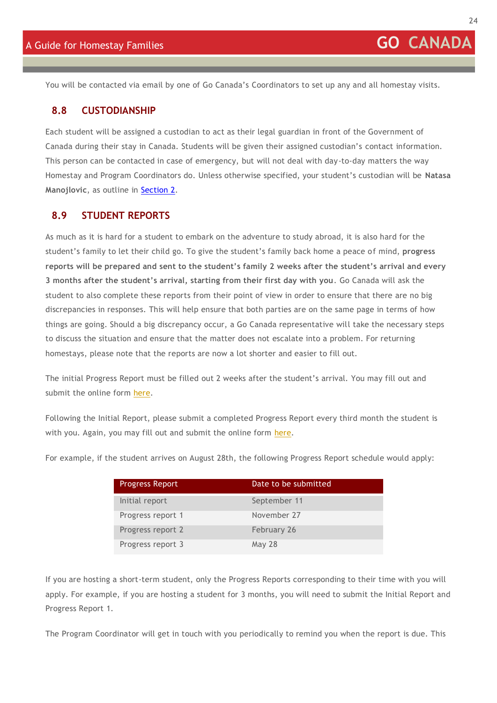<span id="page-23-0"></span>You will be contacted via email by one of Go Canada's Coordinators to set up any and all homestay visits.

#### **8.8 CUSTODIANSHIP**

Each student will be assigned a custodian to act as their legal guardian in front of the Government of Canada during their stay in Canada. Students will be given their assigned custodian's contact information. This person can be contacted in case of emergency, but will not deal with day-to-day matters the way Homestay and Program Coordinators do. Unless otherwise specified, your student's custodian will be **Natasa Manojlovic**, as outline in [Section 2.](#page-3-1)

#### <span id="page-23-1"></span>**8.9 STUDENT REPORTS**

As much as it is hard for a student to embark on the adventure to study abroad, it is also hard for the student's family to let their child go. To give the student's family back home a peace of mind, **progress reports will be prepared and sent to the student's family 2 weeks after the student's arrival and every 3 months after the student's arrival, starting from their first day with you**. Go Canada will ask the student to also complete these reports from their point of view in order to ensure that there are no big discrepancies in responses. This will help ensure that both parties are on the same page in terms of how things are going. Should a big discrepancy occur, a Go Canada representative will take the necessary steps to discuss the situation and ensure that the matter does not escalate into a problem. For returning homestays, please note that the reports are now a lot shorter and easier to fill out.

The initial Progress Report must be filled out 2 weeks after the student's arrival. You may fill out and submit the online form [here.](https://form.jotformeu.com/GoCanada/initial-progress-report)

Following the Initial Report, please submit a completed Progress Report every third month the student is with you. Again, you may fill out and submit the online form [here.](https://form.jotformeu.com/GoCanada/student-progress-report-homestay)

For example, if the student arrives on August 28th, the following Progress Report schedule would apply:

| <b>Progress Report</b> | Date to be submitted |
|------------------------|----------------------|
| Initial report         | September 11         |
| Progress report 1      | November 27          |
| Progress report 2      | February 26          |
| Progress report 3      | May 28               |

If you are hosting a short-term student, only the Progress Reports corresponding to their time with you will apply. For example, if you are hosting a student for 3 months, you will need to submit the Initial Report and Progress Report 1.

The Program Coordinator will get in touch with you periodically to remind you when the report is due. This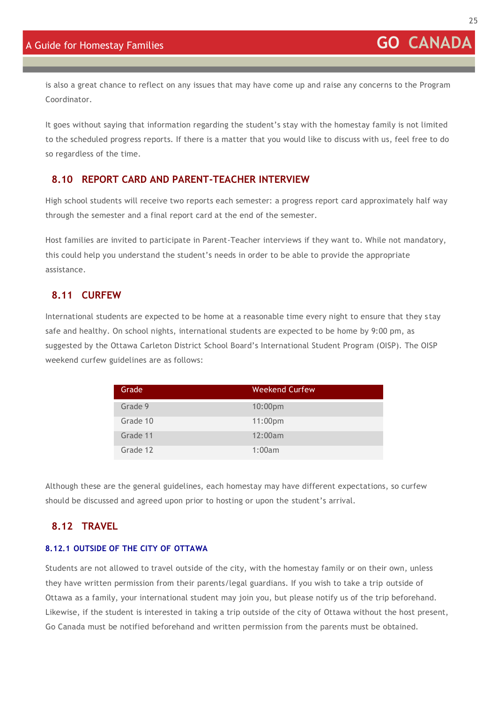is also a great chance to reflect on any issues that may have come up and raise any concerns to the Program Coordinator.

It goes without saying that information regarding the student's stay with the homestay family is not limited to the scheduled progress reports. If there is a matter that you would like to discuss with us, feel free to do so regardless of the time.

#### <span id="page-24-0"></span>**8.10 REPORT CARD AND PARENT-TEACHER INTERVIEW**

High school students will receive two reports each semester: a progress report card approximately half way through the semester and a final report card at the end of the semester.

Host families are invited to participate in Parent-Teacher interviews if they want to. While not mandatory, this could help you understand the student's needs in order to be able to provide the appropriate assistance.

#### <span id="page-24-1"></span>**8.11 CURFEW**

International students are expected to be home at a reasonable time every night to ensure that they s tay safe and healthy. On school nights, international students are expected to be home by 9:00 pm, as suggested by the Ottawa Carleton District School Board's International Student Program (OISP). The OISP weekend curfew guidelines are as follows:

| Grade    | Weekend Curfew |
|----------|----------------|
| Grade 9  | $10:00$ pm     |
| Grade 10 | 11:00pm        |
| Grade 11 | 12:00am        |
| Grade 12 | 1:00am         |

Although these are the general guidelines, each homestay may have different expectations, so curfew should be discussed and agreed upon prior to hosting or upon the student's arrival.

#### <span id="page-24-2"></span>**8.12 TRAVEL**

#### <span id="page-24-3"></span>**8.12.1 OUTSIDE OF THE CITY OF OTTAWA**

Students are not allowed to travel outside of the city, with the homestay family or on their own, unless they have written permission from their parents/legal guardians. If you wish to take a trip outside of Ottawa as a family, your international student may join you, but please notify us of the trip beforehand. Likewise, if the student is interested in taking a trip outside of the city of Ottawa without the host present, Go Canada must be notified beforehand and written permission from the parents must be obtained.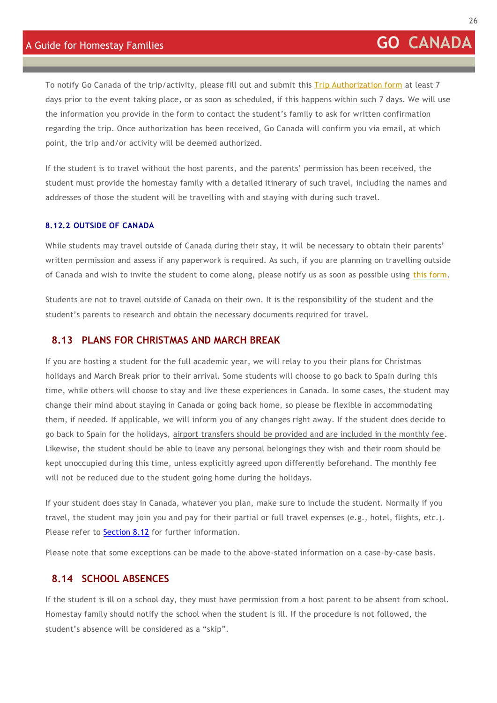To notify Go Canada of the trip/activity, please fill out and submit [this Trip Authorization form](https://form.jotformeu.com/GoCanada/trip-information-form) at least 7 days prior to the event taking place, or as soon as scheduled, if this happens within such 7 days. We will use the information you provide in the form to contact the student's family to ask for written confirmation regarding the trip. Once authorization has been received, Go Canada will confirm you via email, at which point, the trip and/or activity will be deemed authorized.

If the student is to travel without the host parents, and the parents' permission has been received, the student must provide the homestay family with a detailed itinerary of such travel, including the names and addresses of those the student will be travelling with and staying with during such travel.

#### <span id="page-25-0"></span>**8.12.2 OUTSIDE OF CANADA**

While students may travel outside of Canada during their stay, it will be necessary to obtain their parents' written permission and assess if any paperwork is required. As such, if you are planning on travelling outside of Canada and wish to invite the student to come along, please notify us as soon as possible using [this form.](https://form.jotformeu.com/GoCanada/trip-information-form)

Students are not to travel outside of Canada on their own. It is the responsibility of the student and the student's parents to research and obtain the necessary documents required for travel.

#### <span id="page-25-1"></span>**8.13 PLANS FOR CHRISTMAS AND MARCH BREAK**

If you are hosting a student for the full academic year, we will relay to you their plans for Christmas holidays and March Break prior to their arrival. Some students will choose to go back to Spain during this time, while others will choose to stay and live these experiences in Canada. In some cases, the student may change their mind about staying in Canada or going back home, so please be flexible in accommodating them, if needed. If applicable, we will inform you of any changes right away. If the student does decide to go back to Spain for the holidays, airport transfers should be provided and are included in the monthly fee. Likewise, the student should be able to leave any personal belongings they wish and their room should be kept unoccupied during this time, unless explicitly agreed upon differently beforehand. The monthly fee will not be reduced due to the student going home during the holidays.

If your student does stay in Canada, whatever you plan, make sure to include the student. Normally if you travel, the student may join you and pay for their partial or full travel expenses (e.g., hotel, flights, etc.). Please refer to **[Section 8.12](#page-24-2)** for further information.

<span id="page-25-2"></span>Please note that some exceptions can be made to the above-stated information on a case-by-case basis.

#### **8.14 SCHOOL ABSENCES**

If the student is ill on a school day, they must have permission from a host parent to be absent from school. Homestay family should notify the school when the student is ill. If the procedure is not followed, the student's absence will be considered as a "skip".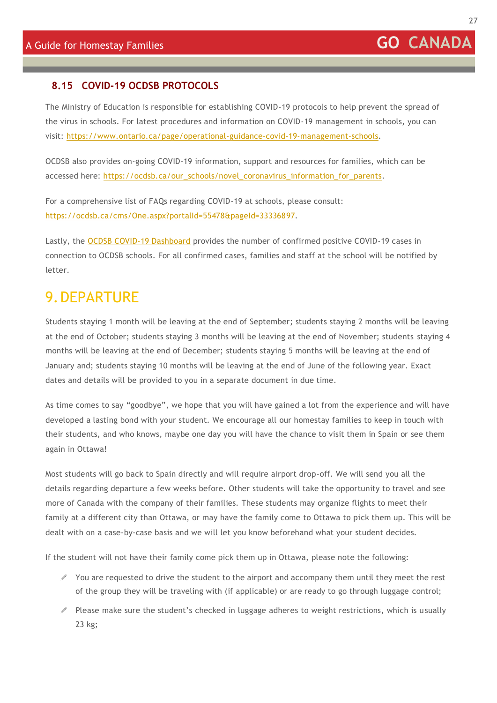#### <span id="page-26-0"></span>**8.15 COVID-19 OCDSB PROTOCOLS**

The Ministry of Education is responsible for establishing COVID-19 protocols to help prevent the spread of the virus in schools. For latest procedures and information on COVID-19 management in schools, you can visit: [https://www.ontario.ca/page/operational-guidance-covid-19-management-schools.](https://www.ontario.ca/page/operational-guidance-covid-19-management-schools)

OCDSB also provides on-going COVID-19 information, support and resources for families, which can be accessed here: [https://ocdsb.ca/our\\_schools/novel\\_coronavirus\\_information\\_for\\_parents.](https://ocdsb.ca/our_schools/novel_coronavirus_information_for_parents)

For a comprehensive list of FAQs regarding COVID-19 at schools, please consult: [https://ocdsb.ca/cms/One.aspx?portalId=55478&pageId=33336897.](https://ocdsb.ca/cms/One.aspx?portalId=55478&pageId=33336897)

Lastly, the [OCDSB COVID-19 Dashboard](https://ocdsb.ca/cms/One.aspx?portalId=55478&pageId=33161200) provides the number of confirmed positive COVID-19 cases in connection to OCDSB schools. For all confirmed cases, families and staff at the school will be notified by letter.

### <span id="page-26-1"></span>9.DEPARTURE

Students staying 1 month will be leaving at the end of September; students staying 2 months will be leaving at the end of October; students staying 3 months will be leaving at the end of November; students staying 4 months will be leaving at the end of December; students staying 5 months will be leaving at the end of January and; students staying 10 months will be leaving at the end of June of the following year. Exact dates and details will be provided to you in a separate document in due time.

As time comes to say "goodbye", we hope that you will have gained a lot from the experience and will have developed a lasting bond with your student. We encourage all our homestay families to keep in touch with their students, and who knows, maybe one day you will have the chance to visit them in Spain or see them again in Ottawa!

Most students will go back to Spain directly and will require airport drop-off. We will send you all the details regarding departure a few weeks before. Other students will take the opportunity to travel and see more of Canada with the company of their families. These students may organize flights to meet their family at a different city than Ottawa, or may have the family come to Ottawa to pick them up. This will be dealt with on a case-by-case basis and we will let you know beforehand what your student decides.

If the student will not have their family come pick them up in Ottawa, please note the following:

- $\mathscr I$  You are requested to drive the student to the airport and accompany them until they meet the rest of the group they will be traveling with (if applicable) or are ready to go through luggage control;
- $\ell$  Please make sure the student's checked in luggage adheres to weight restrictions, which is usually 23 kg;